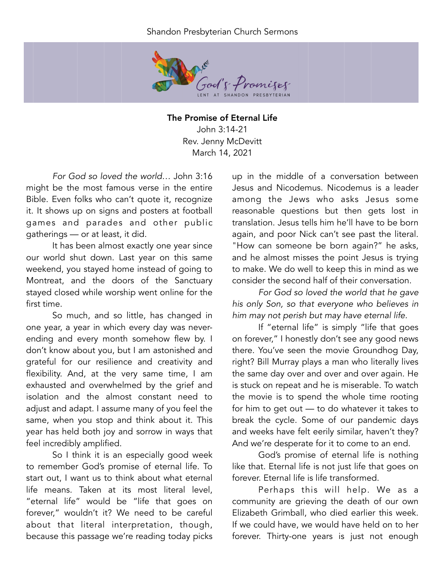## Shandon Presbyterian Church Sermons



The Promise of Eternal Life John 3:14-21 Rev. Jenny McDevitt March 14, 2021

*For God so loved the world…* John 3:16 might be the most famous verse in the entire Bible. Even folks who can't quote it, recognize it. It shows up on signs and posters at football games and parades and other public gatherings — or at least, it did.

It has been almost exactly one year since our world shut down. Last year on this same weekend, you stayed home instead of going to Montreat, and the doors of the Sanctuary stayed closed while worship went online for the first time.

So much, and so little, has changed in one year, a year in which every day was neverending and every month somehow flew by. I don't know about you, but I am astonished and grateful for our resilience and creativity and flexibility. And, at the very same time, I am exhausted and overwhelmed by the grief and isolation and the almost constant need to adjust and adapt. I assume many of you feel the same, when you stop and think about it. This year has held both joy and sorrow in ways that feel incredibly amplified.

So I think it is an especially good week to remember God's promise of eternal life. To start out, I want us to think about what eternal life means. Taken at its most literal level, "eternal life" would be "life that goes on forever," wouldn't it? We need to be careful about that literal interpretation, though, because this passage we're reading today picks

up in the middle of a conversation between Jesus and Nicodemus. Nicodemus is a leader among the Jews who asks Jesus some reasonable questions but then gets lost in translation. Jesus tells him he'll have to be born again, and poor Nick can't see past the literal. "How can someone be born again?" he asks, and he almost misses the point Jesus is trying to make. We do well to keep this in mind as we consider the second half of their conversation.

*For God so loved the world that he gave his only Son, so that everyone who believes in him may not perish but may have eternal life.* 

If "eternal life" is simply "life that goes on forever," I honestly don't see any good news there. You've seen the movie Groundhog Day, right? Bill Murray plays a man who literally lives the same day over and over and over again. He is stuck on repeat and he is miserable. To watch the movie is to spend the whole time rooting for him to get out — to do whatever it takes to break the cycle. Some of our pandemic days and weeks have felt eerily similar, haven't they? And we're desperate for it to come to an end.

God's promise of eternal life is nothing like that. Eternal life is not just life that goes on forever. Eternal life is life transformed.

Perhaps this will help. We as a community are grieving the death of our own Elizabeth Grimball, who died earlier this week. If we could have, we would have held on to her forever. Thirty-one years is just not enough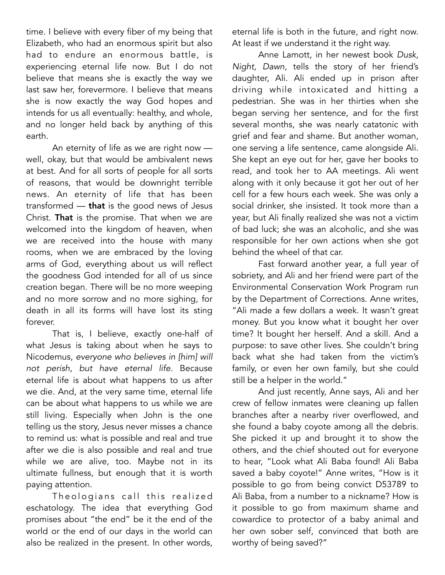time. I believe with every fiber of my being that Elizabeth, who had an enormous spirit but also had to endure an enormous battle, is experiencing eternal life now. But I do not believe that means she is exactly the way we last saw her, forevermore. I believe that means she is now exactly the way God hopes and intends for us all eventually: healthy, and whole, and no longer held back by anything of this earth.

An eternity of life as we are right now well, okay, but that would be ambivalent news at best. And for all sorts of people for all sorts of reasons, that would be downright terrible news. An eternity of life that has been transformed — that is the good news of Jesus Christ. That is the promise. That when we are welcomed into the kingdom of heaven, when we are received into the house with many rooms, when we are embraced by the loving arms of God, everything about us will reflect the goodness God intended for all of us since creation began. There will be no more weeping and no more sorrow and no more sighing, for death in all its forms will have lost its sting forever.

That is, I believe, exactly one-half of what Jesus is taking about when he says to Nicodemus, *everyone who believes in [him] will not perish, but have eternal life.* Because eternal life is about what happens to us after we die. And, at the very same time, eternal life can be about what happens to us while we are still living. Especially when John is the one telling us the story, Jesus never misses a chance to remind us: what is possible and real and true after we die is also possible and real and true while we are alive, too. Maybe not in its ultimate fullness, but enough that it is worth paying attention.

Theologians call this realized eschatology. The idea that everything God promises about "the end" be it the end of the world or the end of our days in the world can also be realized in the present. In other words, eternal life is both in the future, and right now. At least if we understand it the right way.

Anne Lamott, in her newest book *Dusk, Night, Dawn*, tells the story of her friend's daughter, Ali. Ali ended up in prison after driving while intoxicated and hitting a pedestrian. She was in her thirties when she began serving her sentence, and for the first several months, she was nearly catatonic with grief and fear and shame. But another woman, one serving a life sentence, came alongside Ali. She kept an eye out for her, gave her books to read, and took her to AA meetings. Ali went along with it only because it got her out of her cell for a few hours each week. She was only a social drinker, she insisted. It took more than a year, but Ali finally realized she was not a victim of bad luck; she was an alcoholic, and she was responsible for her own actions when she got behind the wheel of that car.

Fast forward another year, a full year of sobriety, and Ali and her friend were part of the Environmental Conservation Work Program run by the Department of Corrections. Anne writes, "Ali made a few dollars a week. It wasn't great money. But you know what it bought her over time? It bought her herself. And a skill. And a purpose: to save other lives. She couldn't bring back what she had taken from the victim's family, or even her own family, but she could still be a helper in the world."

And just recently, Anne says, Ali and her crew of fellow inmates were cleaning up fallen branches after a nearby river overflowed, and she found a baby coyote among all the debris. She picked it up and brought it to show the others, and the chief shouted out for everyone to hear, "Look what Ali Baba found! Ali Baba saved a baby coyote!" Anne writes, "How is it possible to go from being convict D53789 to Ali Baba, from a number to a nickname? How is it possible to go from maximum shame and cowardice to protector of a baby animal and her own sober self, convinced that both are worthy of being saved?"